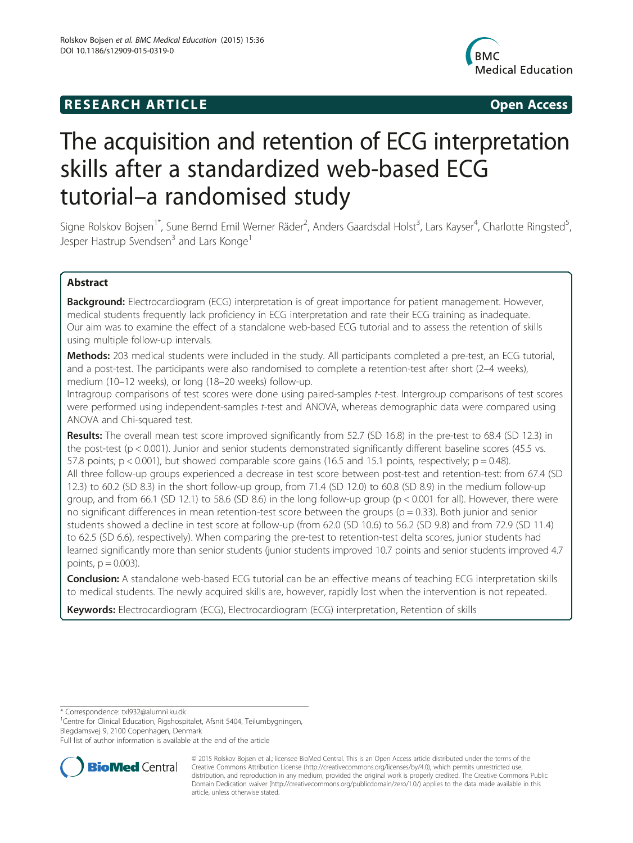# **RESEARCH ARTICLE Example 2014 CONSIDERING CONSIDERING CONSIDERING CONSIDERING CONSIDERING CONSIDERING CONSIDERING CONSIDERING CONSIDERING CONSIDERING CONSIDERING CONSIDERING CONSIDERING CONSIDERING CONSIDERING CONSIDE**



# The acquisition and retention of ECG interpretation skills after a standardized web-based ECG tutorial–a randomised study

Signe Rolskov Bojsen<sup>1\*</sup>, Sune Bernd Emil Werner Räder<sup>2</sup>, Anders Gaardsdal Holst<sup>3</sup>, Lars Kayser<sup>4</sup>, Charlotte Ringsted<sup>5</sup> , Jesper Hastrup Svendsen<sup>3</sup> and Lars Konge<sup>1</sup>

# Abstract

Background: Electrocardiogram (ECG) interpretation is of great importance for patient management. However, medical students frequently lack proficiency in ECG interpretation and rate their ECG training as inadequate. Our aim was to examine the effect of a standalone web-based ECG tutorial and to assess the retention of skills using multiple follow-up intervals.

Methods: 203 medical students were included in the study. All participants completed a pre-test, an ECG tutorial, and a post-test. The participants were also randomised to complete a retention-test after short (2–4 weeks), medium (10–12 weeks), or long (18–20 weeks) follow-up.

Intragroup comparisons of test scores were done using paired-samples t-test. Intergroup comparisons of test scores were performed using independent-samples t-test and ANOVA, whereas demographic data were compared using ANOVA and Chi-squared test.

Results: The overall mean test score improved significantly from 52.7 (SD 16.8) in the pre-test to 68.4 (SD 12.3) in the post-test (p < 0.001). Junior and senior students demonstrated significantly different baseline scores (45.5 vs. 57.8 points;  $p < 0.001$ ), but showed comparable score gains (16.5 and 15.1 points, respectively;  $p = 0.48$ ). All three follow-up groups experienced a decrease in test score between post-test and retention-test: from 67.4 (SD 12.3) to 60.2 (SD 8.3) in the short follow-up group, from 71.4 (SD 12.0) to 60.8 (SD 8.9) in the medium follow-up group, and from 66.1 (SD 12.1) to 58.6 (SD 8.6) in the long follow-up group ( $p < 0.001$  for all). However, there were no significant differences in mean retention-test score between the groups ( $p = 0.33$ ). Both junior and senior students showed a decline in test score at follow-up (from 62.0 (SD 10.6) to 56.2 (SD 9.8) and from 72.9 (SD 11.4) to 62.5 (SD 6.6), respectively). When comparing the pre-test to retention-test delta scores, junior students had learned significantly more than senior students (junior students improved 10.7 points and senior students improved 4.7 points,  $p = 0.003$ ).

Conclusion: A standalone web-based ECG tutorial can be an effective means of teaching ECG interpretation skills to medical students. The newly acquired skills are, however, rapidly lost when the intervention is not repeated.

Keywords: Electrocardiogram (ECG), Electrocardiogram (ECG) interpretation, Retention of skills

\* Correspondence: [txl932@alumni.ku.dk](mailto:txl932@alumni.ku.dk) <sup>1</sup>

<sup>1</sup>Centre for Clinical Education, Rigshospitalet, Afsnit 5404, Teilumbygningen, Blegdamsvej 9, 2100 Copenhagen, Denmark

Full list of author information is available at the end of the article



<sup>© 2015</sup> Rolskov Bojsen et al.; licensee BioMed Central. This is an Open Access article distributed under the terms of the Creative Commons Attribution License (<http://creativecommons.org/licenses/by/4.0>), which permits unrestricted use, distribution, and reproduction in any medium, provided the original work is properly credited. The Creative Commons Public Domain Dedication waiver [\(http://creativecommons.org/publicdomain/zero/1.0/\)](http://creativecommons.org/publicdomain/zero/1.0/) applies to the data made available in this article, unless otherwise stated.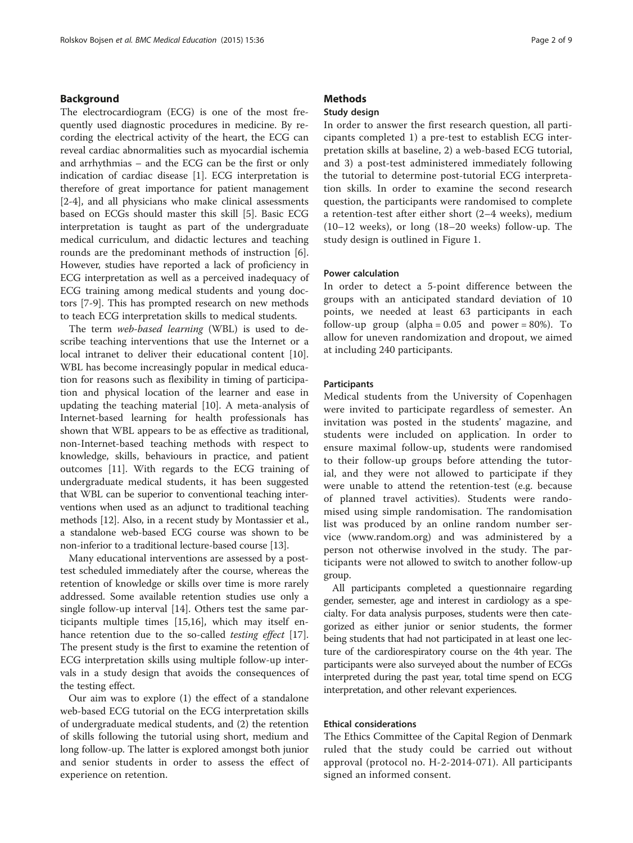# Background

The electrocardiogram (ECG) is one of the most frequently used diagnostic procedures in medicine. By recording the electrical activity of the heart, the ECG can reveal cardiac abnormalities such as myocardial ischemia and arrhythmias – and the ECG can be the first or only indication of cardiac disease [[1](#page-7-0)]. ECG interpretation is therefore of great importance for patient management [[2-4](#page-7-0)], and all physicians who make clinical assessments based on ECGs should master this skill [[5](#page-7-0)]. Basic ECG interpretation is taught as part of the undergraduate medical curriculum, and didactic lectures and teaching rounds are the predominant methods of instruction [\[6](#page-7-0)]. However, studies have reported a lack of proficiency in ECG interpretation as well as a perceived inadequacy of ECG training among medical students and young doctors [\[7-9](#page-7-0)]. This has prompted research on new methods to teach ECG interpretation skills to medical students.

The term web-based learning (WBL) is used to describe teaching interventions that use the Internet or a local intranet to deliver their educational content [\[10](#page-7-0)]. WBL has become increasingly popular in medical education for reasons such as flexibility in timing of participation and physical location of the learner and ease in updating the teaching material [\[10\]](#page-7-0). A meta-analysis of Internet-based learning for health professionals has shown that WBL appears to be as effective as traditional, non-Internet-based teaching methods with respect to knowledge, skills, behaviours in practice, and patient outcomes [[11\]](#page-7-0). With regards to the ECG training of undergraduate medical students, it has been suggested that WBL can be superior to conventional teaching interventions when used as an adjunct to traditional teaching methods [\[12\]](#page-7-0). Also, in a recent study by Montassier et al., a standalone web-based ECG course was shown to be non-inferior to a traditional lecture-based course [\[13\]](#page-7-0).

Many educational interventions are assessed by a posttest scheduled immediately after the course, whereas the retention of knowledge or skills over time is more rarely addressed. Some available retention studies use only a single follow-up interval [\[14](#page-7-0)]. Others test the same participants multiple times [\[15,16\]](#page-7-0), which may itself enhance retention due to the so-called *testing effect* [\[17](#page-7-0)]. The present study is the first to examine the retention of ECG interpretation skills using multiple follow-up intervals in a study design that avoids the consequences of the testing effect.

Our aim was to explore (1) the effect of a standalone web-based ECG tutorial on the ECG interpretation skills of undergraduate medical students, and (2) the retention of skills following the tutorial using short, medium and long follow-up. The latter is explored amongst both junior and senior students in order to assess the effect of experience on retention.

# **Methods**

# Study design

In order to answer the first research question, all participants completed 1) a pre-test to establish ECG interpretation skills at baseline, 2) a web-based ECG tutorial, and 3) a post-test administered immediately following the tutorial to determine post-tutorial ECG interpretation skills. In order to examine the second research question, the participants were randomised to complete a retention-test after either short (2–4 weeks), medium (10–12 weeks), or long (18–20 weeks) follow-up. The study design is outlined in Figure [1](#page-2-0).

# Power calculation

In order to detect a 5-point difference between the groups with an anticipated standard deviation of 10 points, we needed at least 63 participants in each follow-up group (alpha =  $0.05$  and power =  $80\%$ ). To allow for uneven randomization and dropout, we aimed at including 240 participants.

#### **Participants**

Medical students from the University of Copenhagen were invited to participate regardless of semester. An invitation was posted in the students' magazine, and students were included on application. In order to ensure maximal follow-up, students were randomised to their follow-up groups before attending the tutorial, and they were not allowed to participate if they were unable to attend the retention-test (e.g. because of planned travel activities). Students were randomised using simple randomisation. The randomisation list was produced by an online random number service ([www.random.org\)](http://www.random.org) and was administered by a person not otherwise involved in the study. The participants were not allowed to switch to another follow-up group.

All participants completed a questionnaire regarding gender, semester, age and interest in cardiology as a specialty. For data analysis purposes, students were then categorized as either junior or senior students, the former being students that had not participated in at least one lecture of the cardiorespiratory course on the 4th year. The participants were also surveyed about the number of ECGs interpreted during the past year, total time spend on ECG interpretation, and other relevant experiences.

### Ethical considerations

The Ethics Committee of the Capital Region of Denmark ruled that the study could be carried out without approval (protocol no. H-2-2014-071). All participants signed an informed consent.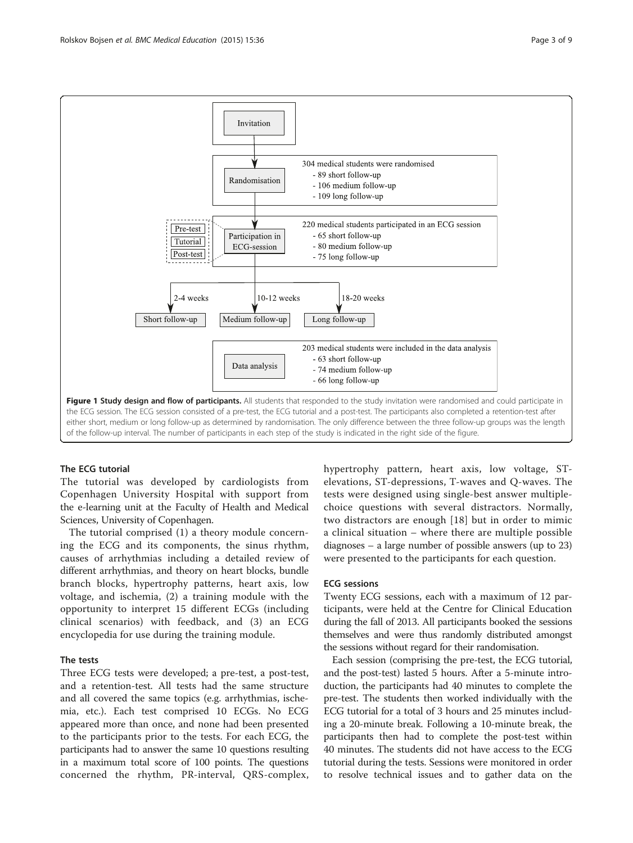<span id="page-2-0"></span>

#### The ECG tutorial

The tutorial was developed by cardiologists from Copenhagen University Hospital with support from the e-learning unit at the Faculty of Health and Medical Sciences, University of Copenhagen.

The tutorial comprised (1) a theory module concerning the ECG and its components, the sinus rhythm, causes of arrhythmias including a detailed review of different arrhythmias, and theory on heart blocks, bundle branch blocks, hypertrophy patterns, heart axis, low voltage, and ischemia, (2) a training module with the opportunity to interpret 15 different ECGs (including clinical scenarios) with feedback, and (3) an ECG encyclopedia for use during the training module.

### The tests

Three ECG tests were developed; a pre-test, a post-test, and a retention-test. All tests had the same structure and all covered the same topics (e.g. arrhythmias, ischemia, etc.). Each test comprised 10 ECGs. No ECG appeared more than once, and none had been presented to the participants prior to the tests. For each ECG, the participants had to answer the same 10 questions resulting in a maximum total score of 100 points. The questions concerned the rhythm, PR-interval, QRS-complex, hypertrophy pattern, heart axis, low voltage, STelevations, ST-depressions, T-waves and Q-waves. The tests were designed using single-best answer multiplechoice questions with several distractors. Normally, two distractors are enough [[18](#page-7-0)] but in order to mimic a clinical situation – where there are multiple possible diagnoses – a large number of possible answers (up to 23) were presented to the participants for each question.

# ECG sessions

Twenty ECG sessions, each with a maximum of 12 participants, were held at the Centre for Clinical Education during the fall of 2013. All participants booked the sessions themselves and were thus randomly distributed amongst the sessions without regard for their randomisation.

Each session (comprising the pre-test, the ECG tutorial, and the post-test) lasted 5 hours. After a 5-minute introduction, the participants had 40 minutes to complete the pre-test. The students then worked individually with the ECG tutorial for a total of 3 hours and 25 minutes including a 20-minute break. Following a 10-minute break, the participants then had to complete the post-test within 40 minutes. The students did not have access to the ECG tutorial during the tests. Sessions were monitored in order to resolve technical issues and to gather data on the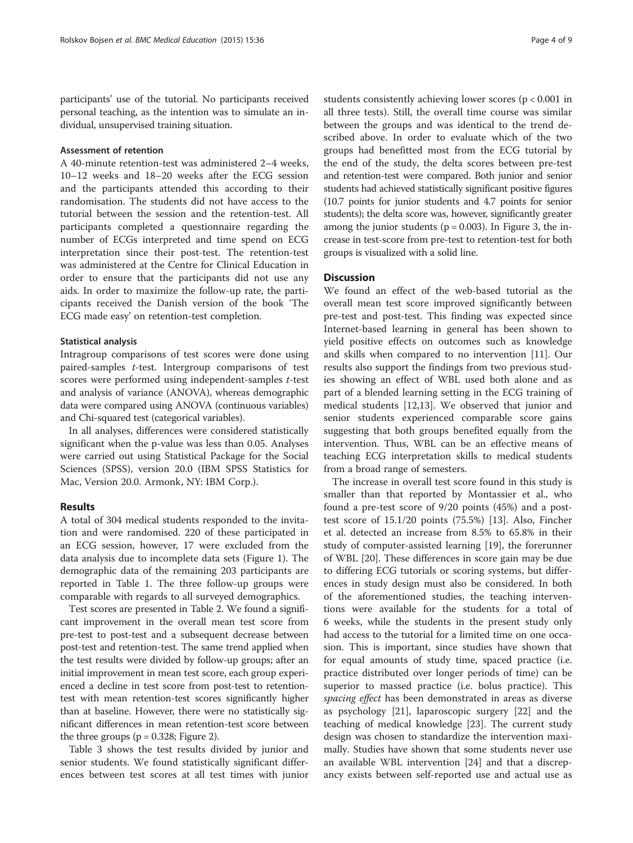participants' use of the tutorial. No participants received personal teaching, as the intention was to simulate an individual, unsupervised training situation.

#### Assessment of retention

A 40-minute retention-test was administered 2–4 weeks, 10–12 weeks and 18–20 weeks after the ECG session and the participants attended this according to their randomisation. The students did not have access to the tutorial between the session and the retention-test. All participants completed a questionnaire regarding the number of ECGs interpreted and time spend on ECG interpretation since their post-test. The retention-test was administered at the Centre for Clinical Education in order to ensure that the participants did not use any aids. In order to maximize the follow-up rate, the participants received the Danish version of the book 'The ECG made easy' on retention-test completion.

#### Statistical analysis

Intragroup comparisons of test scores were done using paired-samples t-test. Intergroup comparisons of test scores were performed using independent-samples t-test and analysis of variance (ANOVA), whereas demographic data were compared using ANOVA (continuous variables) and Chi-squared test (categorical variables).

In all analyses, differences were considered statistically significant when the p-value was less than 0.05. Analyses were carried out using Statistical Package for the Social Sciences (SPSS), version 20.0 (IBM SPSS Statistics for Mac, Version 20.0. Armonk, NY: IBM Corp.).

# Results

A total of 304 medical students responded to the invitation and were randomised. 220 of these participated in an ECG session, however, 17 were excluded from the data analysis due to incomplete data sets (Figure [1\)](#page-2-0). The demographic data of the remaining 203 participants are reported in Table [1.](#page-4-0) The three follow-up groups were comparable with regards to all surveyed demographics.

Test scores are presented in Table [2](#page-4-0). We found a significant improvement in the overall mean test score from pre-test to post-test and a subsequent decrease between post-test and retention-test. The same trend applied when the test results were divided by follow-up groups; after an initial improvement in mean test score, each group experienced a decline in test score from post-test to retentiontest with mean retention-test scores significantly higher than at baseline. However, there were no statistically significant differences in mean retention-test score between the three groups ( $p = 0.328$ ; Figure [2](#page-5-0)).

Table [3](#page-5-0) shows the test results divided by junior and senior students. We found statistically significant differences between test scores at all test times with junior

students consistently achieving lower scores (p < 0.001 in all three tests). Still, the overall time course was similar between the groups and was identical to the trend described above. In order to evaluate which of the two groups had benefitted most from the ECG tutorial by the end of the study, the delta scores between pre-test and retention-test were compared. Both junior and senior students had achieved statistically significant positive figures (10.7 points for junior students and 4.7 points for senior students); the delta score was, however, significantly greater among the junior students ( $p = 0.003$ ). In Figure [3](#page-6-0), the increase in test-score from pre-test to retention-test for both groups is visualized with a solid line.

### **Discussion**

We found an effect of the web-based tutorial as the overall mean test score improved significantly between pre-test and post-test. This finding was expected since Internet-based learning in general has been shown to yield positive effects on outcomes such as knowledge and skills when compared to no intervention [[11\]](#page-7-0). Our results also support the findings from two previous studies showing an effect of WBL used both alone and as part of a blended learning setting in the ECG training of medical students [[12,13\]](#page-7-0). We observed that junior and senior students experienced comparable score gains suggesting that both groups benefited equally from the intervention. Thus, WBL can be an effective means of teaching ECG interpretation skills to medical students from a broad range of semesters.

The increase in overall test score found in this study is smaller than that reported by Montassier et al., who found a pre-test score of 9/20 points (45%) and a posttest score of 15.1/20 points (75.5%) [\[13](#page-7-0)]. Also, Fincher et al. detected an increase from 8.5% to 65.8% in their study of computer-assisted learning [\[19](#page-7-0)], the forerunner of WBL [\[20\]](#page-7-0). These differences in score gain may be due to differing ECG tutorials or scoring systems, but differences in study design must also be considered. In both of the aforementioned studies, the teaching interventions were available for the students for a total of 6 weeks, while the students in the present study only had access to the tutorial for a limited time on one occasion. This is important, since studies have shown that for equal amounts of study time, spaced practice (i.e. practice distributed over longer periods of time) can be superior to massed practice (i.e. bolus practice). This spacing effect has been demonstrated in areas as diverse as psychology [[21\]](#page-7-0), laparoscopic surgery [[22\]](#page-7-0) and the teaching of medical knowledge [\[23](#page-7-0)]. The current study design was chosen to standardize the intervention maximally. Studies have shown that some students never use an available WBL intervention [[24](#page-7-0)] and that a discrepancy exists between self-reported use and actual use as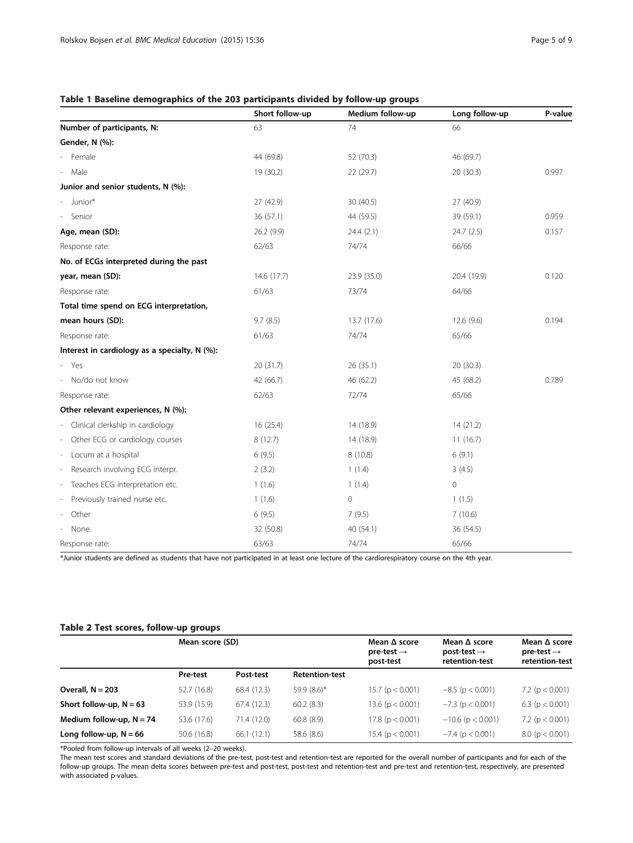# <span id="page-4-0"></span>Table 1 Baseline demographics of the 203 participants divided by follow-up groups

|                                                              | Short follow-up | Medium follow-up | Long follow-up | P-value |
|--------------------------------------------------------------|-----------------|------------------|----------------|---------|
| Number of participants, N:                                   | 63              | 74               | 66             |         |
| Gender, N (%):                                               |                 |                  |                |         |
| Female                                                       | 44 (69.8)       | 52 (70.3)        | 46 (69.7)      |         |
| - Male                                                       | 19 (30.2)       | 22 (29.7)        | 20(30.3)       | 0.997   |
| Junior and senior students, N (%):                           |                 |                  |                |         |
| Junior*                                                      | 27 (42.9)       | 30 (40.5)        | 27 (40.9)      |         |
| Senior<br>$\overline{\phantom{a}}$                           | 36 (57.1)       | 44 (59.5)        | 39 (59.1)      | 0.959   |
| Age, mean (SD):                                              | 26.2 (9.9)      | 24.4(2.1)        | 24.7(2.5)      | 0.157   |
| Response rate:                                               | 62/63           | 74/74            | 66/66          |         |
| No. of ECGs interpreted during the past                      |                 |                  |                |         |
| year, mean (SD):                                             | 14.6(17.7)      | 23.9 (35.0)      | 20.4 (19.9)    | 0.120   |
| Response rate:                                               | 61/63           | 73/74            | 64/66          |         |
| Total time spend on ECG interpretation,                      |                 |                  |                |         |
| mean hours (SD):                                             | 9.7(8.5)        | 13.7 (17.6)      | 12.6(9.6)      | 0.194   |
| Response rate:                                               | 61/63           | 74/74            | 65/66          |         |
| Interest in cardiology as a specialty, N (%):                |                 |                  |                |         |
| - Yes                                                        | 20 (31.7)       | 26 (35.1)        | 20(30.3)       |         |
| - No/do not know                                             | 42 (66.7)       | 46 (62.2)        | 45 (68.2)      | 0.789   |
| Response rate:                                               | 62/63           | 72/74            | 65/66          |         |
| Other relevant experiences, N (%):                           |                 |                  |                |         |
| Clinical clerkship in cardiology<br>$\overline{\phantom{a}}$ | 16 (25.4)       | 14 (18.9)        | 14(21.2)       |         |
| Other ECG or cardiology courses<br>$\overline{\phantom{a}}$  | 8(12.7)         | 14 (18.9)        | 11(16.7)       |         |
| - Locum at a hospital                                        | 6(9.5)          | 8 (10.8)         | 6(9.1)         |         |
| - Research involving ECG interpr.                            | 2(3.2)          | 1(1.4)           | 3(4.5)         |         |
| Teaches ECG interpretation etc.<br>$\overline{\phantom{a}}$  | 1(1.6)          | 1(1.4)           | $\mathbf 0$    |         |
| Previously trained nurse etc.                                | 1(1.6)          | 0                | 1(1.5)         |         |
| Other<br>$\overline{\phantom{m}}$                            | 6(9.5)          | 7(9.5)           | 7(10.6)        |         |
| None                                                         | 32 (50.8)       | 40 (54.1)        | 36 (54.5)      |         |
| Response rate:                                               | 63/63           | 74/74            | 65/66          |         |

\*Junior students are defined as students that have not participated in at least one lecture of the cardiorespiratory course on the 4th year.

# Table 2 Test scores, follow-up groups

| Mean score (SD) |             |             | Mean $\Delta$ score<br>pre-test $\rightarrow$<br>post-test | Mean $\Delta$ score<br>$post-test \rightarrow$<br>retention-test | Mean $\Delta$ score<br>pre-test $\rightarrow$<br>retention-test |
|-----------------|-------------|-------------|------------------------------------------------------------|------------------------------------------------------------------|-----------------------------------------------------------------|
|                 |             |             |                                                            |                                                                  |                                                                 |
| 52.7 (16.8)     | 68.4 (12.3) | 59.9 (8.6)* | 15.7 ( $p < 0.001$ )                                       | $-8.5$ (p < 0.001)                                               | 7.2 ( $p < 0.001$ )                                             |
| 53.9 (15.9)     | 67.4 (12.3) | 60.2(8.3)   | 13.6 ( $p < 0.001$ )                                       | $-7.3$ (p < 0.001)                                               | 6.3 ( $p < 0.001$ )                                             |
| 53.6 (17.6)     | 71.4 (12.0) | 60.8(8.9)   | $17.8$ ( $p < 0.001$ )                                     | $-10.6$ ( $p < 0.001$ )                                          | $7.2$ (p $< 0.001$ )                                            |
| 50.6 (16.8)     | 66.1(12.1)  | 58.6 (8.6)  | 15.4 ( $p < 0.001$ )                                       | $-7.4$ (p $< 0.001$ )                                            | $8.0$ (p $< 0.001$ )                                            |
|                 |             |             |                                                            |                                                                  |                                                                 |

\*Pooled from follow-up intervals of all weeks (2–20 weeks).

The mean test scores and standard deviations of the pre-test, post-test and retention-test are reported for the overall number of participants and for each of the follow-up groups. The mean delta scores between pre-test and post-test, post-test and retention-test and pre-test and retention-test, respectively, are presented with associated p-values.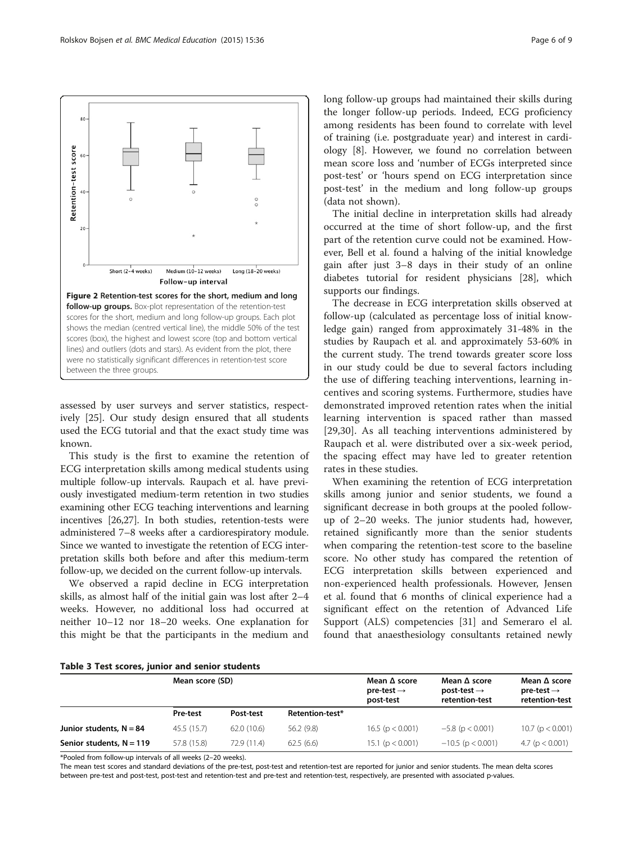<span id="page-5-0"></span>

assessed by user surveys and server statistics, respectively [\[25](#page-7-0)]. Our study design ensured that all students used the ECG tutorial and that the exact study time was known.

This study is the first to examine the retention of ECG interpretation skills among medical students using multiple follow-up intervals. Raupach et al. have previously investigated medium-term retention in two studies examining other ECG teaching interventions and learning incentives [[26,27\]](#page-7-0). In both studies, retention-tests were administered 7–8 weeks after a cardiorespiratory module. Since we wanted to investigate the retention of ECG interpretation skills both before and after this medium-term follow-up, we decided on the current follow-up intervals.

We observed a rapid decline in ECG interpretation skills, as almost half of the initial gain was lost after 2–4 weeks. However, no additional loss had occurred at neither 10–12 nor 18–20 weeks. One explanation for this might be that the participants in the medium and long follow-up groups had maintained their skills during the longer follow-up periods. Indeed, ECG proficiency among residents has been found to correlate with level of training (i.e. postgraduate year) and interest in cardiology [[8\]](#page-7-0). However, we found no correlation between mean score loss and 'number of ECGs interpreted since post-test' or 'hours spend on ECG interpretation since post-test' in the medium and long follow-up groups (data not shown).

The initial decline in interpretation skills had already occurred at the time of short follow-up, and the first part of the retention curve could not be examined. However, Bell et al. found a halving of the initial knowledge gain after just 3–8 days in their study of an online diabetes tutorial for resident physicians [[28\]](#page-7-0), which supports our findings.

The decrease in ECG interpretation skills observed at follow-up (calculated as percentage loss of initial knowledge gain) ranged from approximately 31-48% in the studies by Raupach et al. and approximately 53-60% in the current study. The trend towards greater score loss in our study could be due to several factors including the use of differing teaching interventions, learning incentives and scoring systems. Furthermore, studies have demonstrated improved retention rates when the initial learning intervention is spaced rather than massed [[29](#page-7-0)[,30](#page-8-0)]. As all teaching interventions administered by Raupach et al. were distributed over a six-week period, the spacing effect may have led to greater retention rates in these studies.

When examining the retention of ECG interpretation skills among junior and senior students, we found a significant decrease in both groups at the pooled followup of 2–20 weeks. The junior students had, however, retained significantly more than the senior students when comparing the retention-test score to the baseline score. No other study has compared the retention of ECG interpretation skills between experienced and non-experienced health professionals. However, Jensen et al. found that 6 months of clinical experience had a significant effect on the retention of Advanced Life Support (ALS) competencies [\[31](#page-8-0)] and Semeraro el al. found that anaesthesiology consultants retained newly

|                            |                 | Mean score (SD) |                 | Mean $\Delta$ score<br>pre-test $\rightarrow$<br>post-test | Mean $\Delta$ score<br>$post-test \rightarrow$<br>retention-test | Mean $\Delta$ score<br>pre-test $\rightarrow$<br>retention-test |
|----------------------------|-----------------|-----------------|-----------------|------------------------------------------------------------|------------------------------------------------------------------|-----------------------------------------------------------------|
|                            | <b>Pre-test</b> | Post-test       | Retention-test* |                                                            |                                                                  |                                                                 |
| Junior students, $N = 84$  | 45.5 (15.7)     | 62.0(10.6)      | 56.2 (9.8)      | 16.5 ( $p < 0.001$ )                                       | $-5.8$ (p $< 0.001$ )                                            | 10.7 ( $p < 0.001$ )                                            |
| Senior students, $N = 119$ | 57.8 (15.8)     | 72.9 (11.4)     | 62.5(6.6)       | 15.1 ( $p < 0.001$ )                                       | $-10.5$ (p < 0.001)                                              | 4.7 ( $p < 0.001$ )                                             |

\*Pooled from follow-up intervals of all weeks (2–20 weeks).

The mean test scores and standard deviations of the pre-test, post-test and retention-test are reported for junior and senior students. The mean delta scores between pre-test and post-test, post-test and retention-test and pre-test and retention-test, respectively, are presented with associated p-values.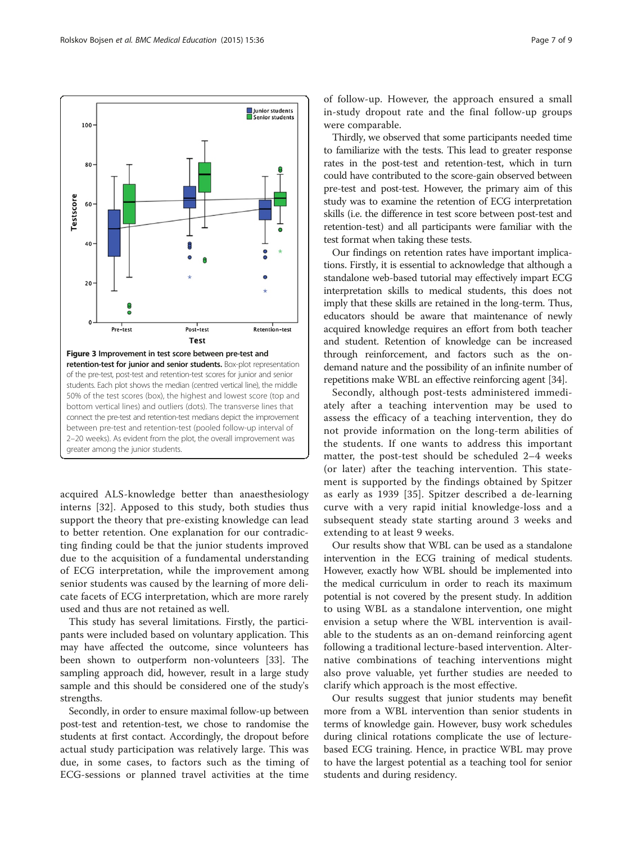<span id="page-6-0"></span>

acquired ALS-knowledge better than anaesthesiology interns [\[32](#page-8-0)]. Apposed to this study, both studies thus support the theory that pre-existing knowledge can lead to better retention. One explanation for our contradicting finding could be that the junior students improved due to the acquisition of a fundamental understanding of ECG interpretation, while the improvement among senior students was caused by the learning of more delicate facets of ECG interpretation, which are more rarely used and thus are not retained as well.

This study has several limitations. Firstly, the participants were included based on voluntary application. This may have affected the outcome, since volunteers has been shown to outperform non-volunteers [\[33\]](#page-8-0). The sampling approach did, however, result in a large study sample and this should be considered one of the study's strengths.

Secondly, in order to ensure maximal follow-up between post-test and retention-test, we chose to randomise the students at first contact. Accordingly, the dropout before actual study participation was relatively large. This was due, in some cases, to factors such as the timing of ECG-sessions or planned travel activities at the time

of follow-up. However, the approach ensured a small in-study dropout rate and the final follow-up groups were comparable.

Thirdly, we observed that some participants needed time to familiarize with the tests. This lead to greater response rates in the post-test and retention-test, which in turn could have contributed to the score-gain observed between pre-test and post-test. However, the primary aim of this study was to examine the retention of ECG interpretation skills (i.e. the difference in test score between post-test and retention-test) and all participants were familiar with the test format when taking these tests.

Our findings on retention rates have important implications. Firstly, it is essential to acknowledge that although a standalone web-based tutorial may effectively impart ECG interpretation skills to medical students, this does not imply that these skills are retained in the long-term. Thus, educators should be aware that maintenance of newly acquired knowledge requires an effort from both teacher and student. Retention of knowledge can be increased through reinforcement, and factors such as the ondemand nature and the possibility of an infinite number of repetitions make WBL an effective reinforcing agent [\[34\]](#page-8-0).

Secondly, although post-tests administered immediately after a teaching intervention may be used to assess the efficacy of a teaching intervention, they do not provide information on the long-term abilities of the students. If one wants to address this important matter, the post-test should be scheduled 2–4 weeks (or later) after the teaching intervention. This statement is supported by the findings obtained by Spitzer as early as 1939 [\[35](#page-8-0)]. Spitzer described a de-learning curve with a very rapid initial knowledge-loss and a subsequent steady state starting around 3 weeks and extending to at least 9 weeks.

Our results show that WBL can be used as a standalone intervention in the ECG training of medical students. However, exactly how WBL should be implemented into the medical curriculum in order to reach its maximum potential is not covered by the present study. In addition to using WBL as a standalone intervention, one might envision a setup where the WBL intervention is available to the students as an on-demand reinforcing agent following a traditional lecture-based intervention. Alternative combinations of teaching interventions might also prove valuable, yet further studies are needed to clarify which approach is the most effective.

Our results suggest that junior students may benefit more from a WBL intervention than senior students in terms of knowledge gain. However, busy work schedules during clinical rotations complicate the use of lecturebased ECG training. Hence, in practice WBL may prove to have the largest potential as a teaching tool for senior students and during residency.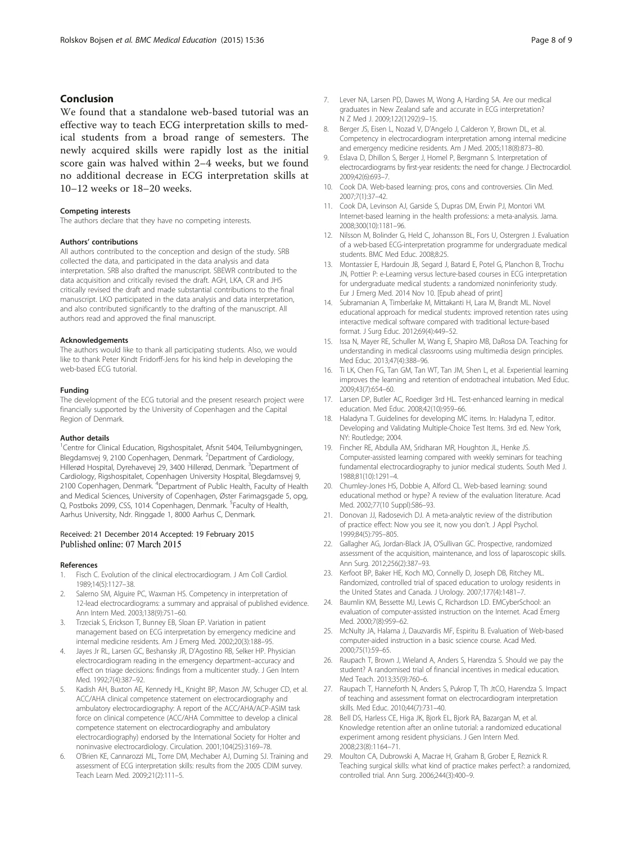# <span id="page-7-0"></span>Conclusion

We found that a standalone web-based tutorial was an effective way to teach ECG interpretation skills to medical students from a broad range of semesters. The newly acquired skills were rapidly lost as the initial score gain was halved within 2–4 weeks, but we found no additional decrease in ECG interpretation skills at 10–12 weeks or 18–20 weeks.

#### Competing interests

The authors declare that they have no competing interests.

#### Authors' contributions

All authors contributed to the conception and design of the study. SRB collected the data, and participated in the data analysis and data interpretation. SRB also drafted the manuscript. SBEWR contributed to the data acquisition and critically revised the draft. AGH, LKA, CR and JHS critically revised the draft and made substantial contributions to the final manuscript. LKO participated in the data analysis and data interpretation, and also contributed significantly to the drafting of the manuscript. All authors read and approved the final manuscript.

#### Acknowledgements

The authors would like to thank all participating students. Also, we would like to thank Peter Kindt Fridorff-Jens for his kind help in developing the web-based ECG tutorial.

#### Funding

The development of the ECG tutorial and the present research project were financially supported by the University of Copenhagen and the Capital Region of Denmark.

#### Author details

<sup>1</sup>Centre for Clinical Education, Rigshospitalet, Afsnit 5404, Teilumbygningen, Blegdamsvej 9, 2100 Copenhagen, Denmark. <sup>2</sup>Department of Cardiology, Hillerød Hospital, Dyrehavevej 29, 3400 Hillerød, Denmark. <sup>3</sup>Department of Cardiology, Rigshospitalet, Copenhagen University Hospital, Blegdamsvej 9, 2100 Copenhagen, Denmark. <sup>4</sup>Department of Public Health, Faculty of Health and Medical Sciences, University of Copenhagen, Øster Farimagsgade 5, opg, Q, Postboks 2099, CSS, 1014 Copenhagen, Denmark. <sup>5</sup>Faculty of Health, Aarhus University, Ndr. Ringgade 1, 8000 Aarhus C, Denmark.

#### Received: 21 December 2014 Accepted: 19 February 2015 Published online: 07 March 2015

#### References

- 1. Fisch C. Evolution of the clinical electrocardiogram. J Am Coll Cardiol. 1989;14(5):1127–38.
- Salerno SM, Alguire PC, Waxman HS. Competency in interpretation of 12-lead electrocardiograms: a summary and appraisal of published evidence. Ann Intern Med. 2003;138(9):751–60.
- 3. Trzeciak S, Erickson T, Bunney EB, Sloan EP. Variation in patient management based on ECG interpretation by emergency medicine and internal medicine residents. Am J Emerg Med. 2002;20(3):188–95.
- 4. Jayes Jr RL, Larsen GC, Beshansky JR, D'Agostino RB, Selker HP. Physician electrocardiogram reading in the emergency department–accuracy and effect on triage decisions: findings from a multicenter study. J Gen Intern Med. 1992;7(4):387–92.
- 5. Kadish AH, Buxton AE, Kennedy HL, Knight BP, Mason JW, Schuger CD, et al. ACC/AHA clinical competence statement on electrocardiography and ambulatory electrocardiography: A report of the ACC/AHA/ACP-ASIM task force on clinical competence (ACC/AHA Committee to develop a clinical competence statement on electrocardiography and ambulatory electrocardiography) endorsed by the International Society for Holter and noninvasive electrocardiology. Circulation. 2001;104(25):3169–78.
- 6. O'Brien KE, Cannarozzi ML, Torre DM, Mechaber AJ, Durning SJ. Training and assessment of ECG interpretation skills: results from the 2005 CDIM survey. Teach Learn Med. 2009;21(2):111–5.
- 8. Berger JS, Eisen L, Nozad V, D'Angelo J, Calderon Y, Brown DL, et al. Competency in electrocardiogram interpretation among internal medicine and emergency medicine residents. Am J Med. 2005;118(8):873–80.
- 9. Eslava D, Dhillon S, Berger J, Homel P, Bergmann S. Interpretation of electrocardiograms by first-year residents: the need for change. J Electrocardiol. 2009;42(6):693–7.
- 10. Cook DA. Web-based learning: pros, cons and controversies. Clin Med. 2007;7(1):37–42.
- 11. Cook DA, Levinson AJ, Garside S, Dupras DM, Erwin PJ, Montori VM. Internet-based learning in the health professions: a meta-analysis. Jama. 2008;300(10):1181–96.
- 12. Nilsson M, Bolinder G, Held C, Johansson BL, Fors U, Ostergren J. Evaluation of a web-based ECG-interpretation programme for undergraduate medical students. BMC Med Educ. 2008;8:25.
- 13. Montassier E, Hardouin JB, Segard J, Batard E, Potel G, Planchon B, Trochu JN, Pottier P: e-Learning versus lecture-based courses in ECG interpretation for undergraduate medical students: a randomized noninferiority study. Eur J Emerg Med. 2014 Nov 10. [Epub ahead of print]
- 14. Subramanian A, Timberlake M, Mittakanti H, Lara M, Brandt ML. Novel educational approach for medical students: improved retention rates using interactive medical software compared with traditional lecture-based format. J Surg Educ. 2012;69(4):449–52.
- 15. Issa N, Mayer RE, Schuller M, Wang E, Shapiro MB, DaRosa DA. Teaching for understanding in medical classrooms using multimedia design principles. Med Educ. 2013;47(4):388–96.
- 16. Ti LK, Chen FG, Tan GM, Tan WT, Tan JM, Shen L, et al. Experiential learning improves the learning and retention of endotracheal intubation. Med Educ. 2009;43(7):654–60.
- 17. Larsen DP, Butler AC, Roediger 3rd HL. Test-enhanced learning in medical education. Med Educ. 2008;42(10):959–66.
- 18. Haladyna T. Guidelines for developing MC items. In: Haladyna T, editor. Developing and Validating Multiple-Choice Test Items. 3rd ed. New York, NY: Routledge; 2004.
- 19. Fincher RE, Abdulla AM, Sridharan MR, Houghton JL, Henke JS. Computer-assisted learning compared with weekly seminars for teaching fundamental electrocardiography to junior medical students. South Med J. 1988;81(10):1291–4.
- 20. Chumley-Jones HS, Dobbie A, Alford CL. Web-based learning: sound educational method or hype? A review of the evaluation literature. Acad Med. 2002;77(10 Suppl):S86–93.
- 21. Donovan JJ, Radosevich DJ. A meta-analytic review of the distribution of practice effect: Now you see it, now you don't. J Appl Psychol. 1999;84(5):795–805.
- 22. Gallagher AG, Jordan-Black JA, O'Sullivan GC. Prospective, randomized assessment of the acquisition, maintenance, and loss of laparoscopic skills. Ann Surg. 2012;256(2):387–93.
- 23. Kerfoot BP, Baker HE, Koch MO, Connelly D, Joseph DB, Ritchey ML. Randomized, controlled trial of spaced education to urology residents in the United States and Canada. J Urology. 2007;177(4):1481–7.
- 24. Baumlin KM, Bessette MJ, Lewis C, Richardson LD. EMCyberSchool: an evaluation of computer-assisted instruction on the Internet. Acad Emerg Med. 2000;7(8):959–62.
- 25. McNulty JA, Halama J, Dauzvardis MF, Espiritu B. Evaluation of Web-based computer-aided instruction in a basic science course. Acad Med. 2000;75(1):59–65.
- 26. Raupach T, Brown J, Wieland A, Anders S, Harendza S. Should we pay the student? A randomised trial of financial incentives in medical education. Med Teach. 2013;35(9):760–6.
- 27. Raupach T, Hanneforth N, Anders S, Pukrop T, Th JtCO, Harendza S. Impact of teaching and assessment format on electrocardiogram interpretation skills. Med Educ. 2010;44(7):731–40.
- 28. Bell DS, Harless CE, Higa JK, Bjork EL, Bjork RA, Bazargan M, et al. Knowledge retention after an online tutorial: a randomized educational experiment among resident physicians. J Gen Intern Med. 2008;23(8):1164–71.
- 29. Moulton CA, Dubrowski A, Macrae H, Graham B, Grober E, Reznick R. Teaching surgical skills: what kind of practice makes perfect?: a randomized, controlled trial. Ann Surg. 2006;244(3):400–9.